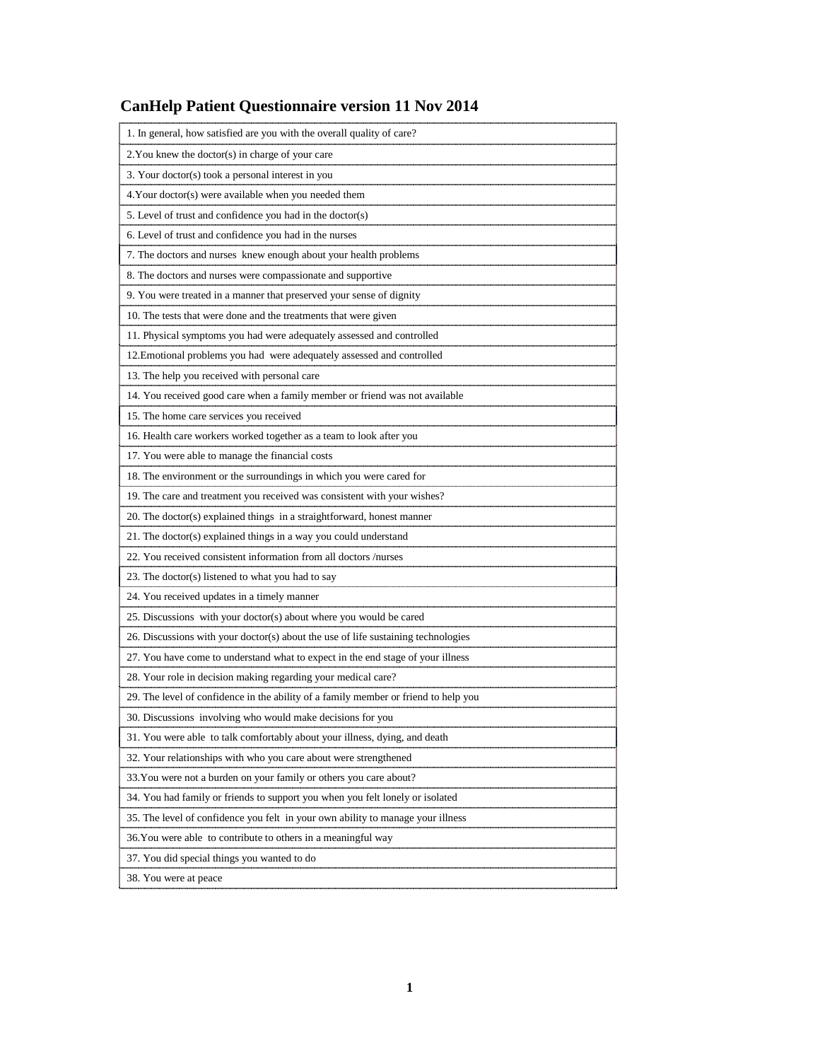# **CanHelp Patient Questionnaire version 11 Nov 2014**

| 1. In general, how satisfied are you with the overall quality of care?              |
|-------------------------------------------------------------------------------------|
| 2. You knew the doctor(s) in charge of your care                                    |
| 3. Your doctor(s) took a personal interest in you                                   |
| 4. Your doctor(s) were available when you needed them                               |
| 5. Level of trust and confidence you had in the doctor(s)                           |
| 6. Level of trust and confidence you had in the nurses                              |
| 7. The doctors and nurses knew enough about your health problems                    |
| 8. The doctors and nurses were compassionate and supportive                         |
| 9. You were treated in a manner that preserved your sense of dignity                |
| 10. The tests that were done and the treatments that were given                     |
| 11. Physical symptoms you had were adequately assessed and controlled               |
| 12. Emotional problems you had were adequately assessed and controlled              |
| 13. The help you received with personal care                                        |
| 14. You received good care when a family member or friend was not available         |
| 15. The home care services you received                                             |
| 16. Health care workers worked together as a team to look after you                 |
| 17. You were able to manage the financial costs                                     |
| 18. The environment or the surroundings in which you were cared for                 |
| 19. The care and treatment you received was consistent with your wishes?            |
| 20. The doctor(s) explained things in a straightforward, honest manner              |
| 21. The doctor(s) explained things in a way you could understand                    |
| 22. You received consistent information from all doctors /nurses                    |
| 23. The doctor(s) listened to what you had to say                                   |
| 24. You received updates in a timely manner                                         |
| 25. Discussions with your doctor(s) about where you would be cared                  |
| 26. Discussions with your doctor(s) about the use of life sustaining technologies   |
| 27. You have come to understand what to expect in the end stage of your illness     |
| 28. Your role in decision making regarding your medical care?                       |
| 29. The level of confidence in the ability of a family member or friend to help you |
| 30. Discussions involving who would make decisions for you                          |
| 31. You were able to talk comfortably about your illness, dying, and death          |
| 32. Your relationships with who you care about were strengthened                    |
| 33. You were not a burden on your family or others you care about?                  |
| 34. You had family or friends to support you when you felt lonely or isolated       |
| 35. The level of confidence you felt in your own ability to manage your illness     |
| 36. You were able to contribute to others in a meaningful way                       |
| 37. You did special things you wanted to do                                         |
| 38. You were at peace                                                               |
|                                                                                     |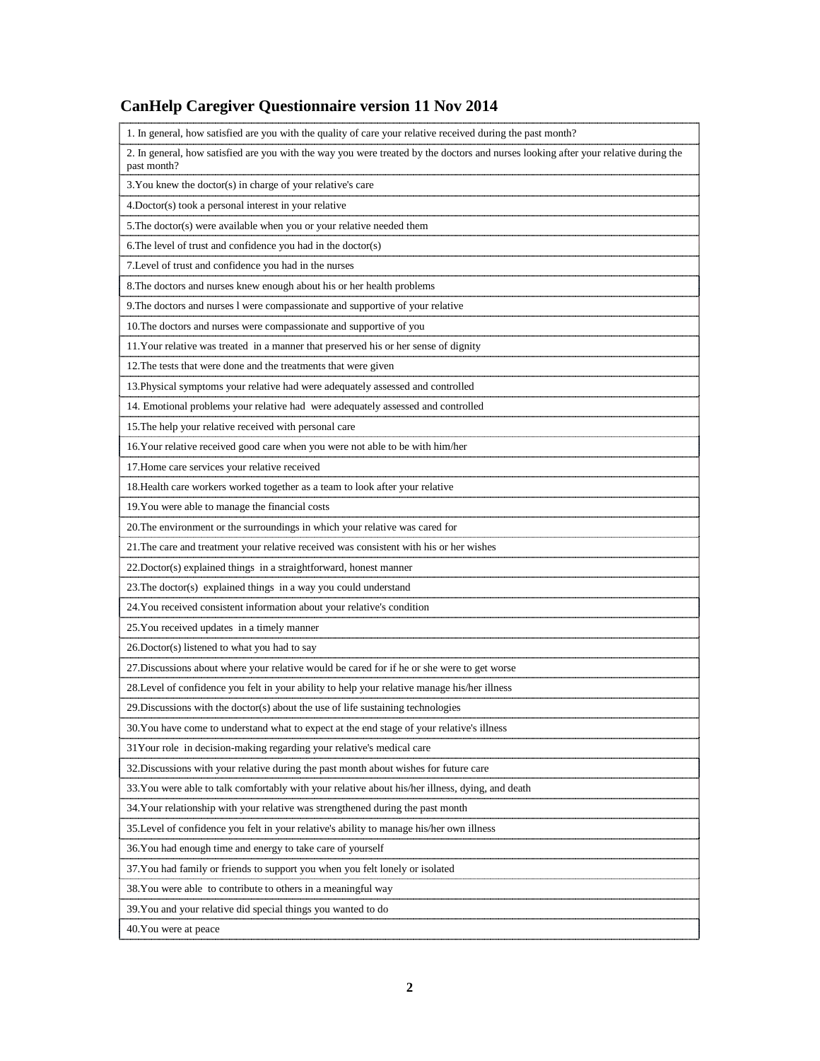# **CanHelp Caregiver Questionnaire version 11 Nov 2014**

| 1. In general, how satisfied are you with the quality of care your relative received during the past month?                                        |
|----------------------------------------------------------------------------------------------------------------------------------------------------|
| 2. In general, how satisfied are you with the way you were treated by the doctors and nurses looking after your relative during the<br>past month? |
| 3. You knew the doctor(s) in charge of your relative's care                                                                                        |
| 4. Doctor(s) took a personal interest in your relative                                                                                             |
| 5. The doctor(s) were available when you or your relative needed them                                                                              |
| 6. The level of trust and confidence you had in the doctor(s)                                                                                      |
| 7. Level of trust and confidence you had in the nurses                                                                                             |
| 8. The doctors and nurses knew enough about his or her health problems                                                                             |
| 9. The doctors and nurses l were compassionate and supportive of your relative                                                                     |
| 10. The doctors and nurses were compassionate and supportive of you                                                                                |
| 11. Your relative was treated in a manner that preserved his or her sense of dignity                                                               |
| 12. The tests that were done and the treatments that were given                                                                                    |
| 13. Physical symptoms your relative had were adequately assessed and controlled                                                                    |
| 14. Emotional problems your relative had were adequately assessed and controlled                                                                   |
| 15. The help your relative received with personal care                                                                                             |
| 16. Your relative received good care when you were not able to be with him/her                                                                     |
| 17. Home care services your relative received                                                                                                      |
| 18. Health care workers worked together as a team to look after your relative                                                                      |
| 19. You were able to manage the financial costs                                                                                                    |
| 20. The environment or the surroundings in which your relative was cared for                                                                       |
| 21. The care and treatment your relative received was consistent with his or her wishes                                                            |
| 22. Doctor(s) explained things in a straightforward, honest manner                                                                                 |
| 23. The doctor(s) explained things in a way you could understand                                                                                   |
| 24. You received consistent information about your relative's condition                                                                            |
| 25. You received updates in a timely manner                                                                                                        |
| 26. Doctor(s) listened to what you had to say                                                                                                      |
| 27. Discussions about where your relative would be cared for if he or she were to get worse                                                        |
| 28.Level of confidence you felt in your ability to help your relative manage his/her illness                                                       |
| 29. Discussions with the doctor(s) about the use of life sustaining technologies                                                                   |
| 30. You have come to understand what to expect at the end stage of your relative's illness                                                         |
| 31 Your role in decision-making regarding your relative's medical care                                                                             |
| 32. Discussions with your relative during the past month about wishes for future care                                                              |
| 33. You were able to talk comfortably with your relative about his/her illness, dying, and death                                                   |
| 34. Your relationship with your relative was strengthened during the past month                                                                    |
| 35. Level of confidence you felt in your relative's ability to manage his/her own illness                                                          |
| 36. You had enough time and energy to take care of yourself                                                                                        |
| 37. You had family or friends to support you when you felt lonely or isolated                                                                      |
| 38. You were able to contribute to others in a meaningful way                                                                                      |
| 39. You and your relative did special things you wanted to do                                                                                      |
| 40. You were at peace                                                                                                                              |